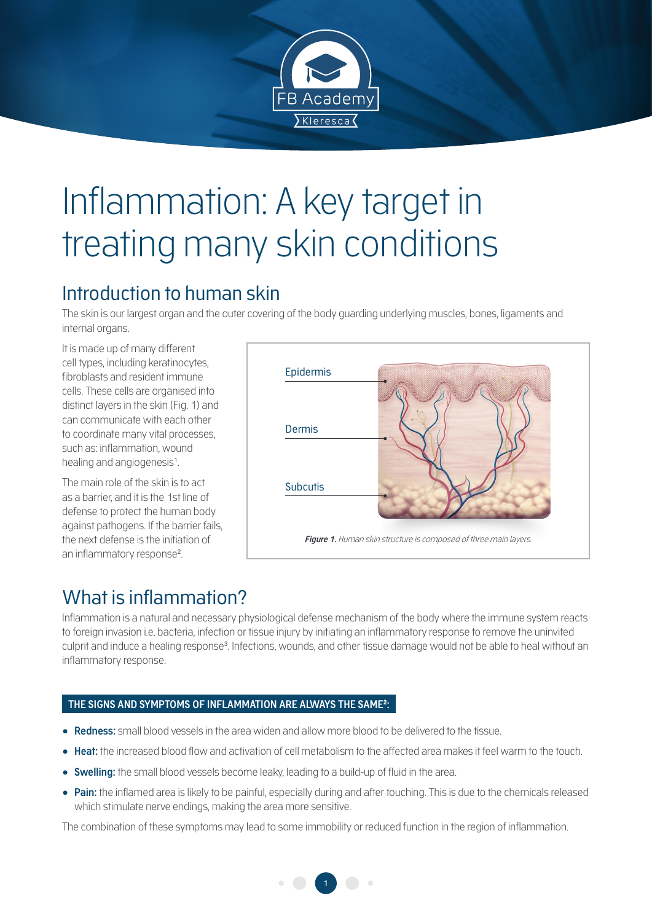

# Inflammation: A key target in treating many skin conditions

## Introduction to human skin

The skin is our largest organ and the outer covering of the body guarding underlying muscles, bones, ligaments and internal organs.

It is made up of many different cell types, including keratinocytes, fibroblasts and resident immune cells. These cells are organised into distinct layers in the skin (Fig. 1) and can communicate with each other to coordinate many vital processes, such as: inflammation, wound healing and angiogenesis<sup>1</sup>.

The main role of the skin is to act as a barrier, and it is the 1st line of defense to protect the human body against pathogens. If the barrier fails, the next defense is the initiation of an inflammatory response<sup>2</sup>. .



# What is inflammation?

Inflammation is a natural and necessary physiological defense mechanism of the body where the immune system reacts to foreign invasion i.e. bacteria, infection or tissue injury by initiating an inflammatory response to remove the uninvited culprit and induce a healing response<sup>3</sup>. Infections, wounds, and other tissue damage would not be able to heal without an inflammatory response.

#### **THE SIGNS AND SYMPTOMS OF INFLAMMATION ARE ALWAYS THE SAME<sup>2</sup> :**

- **Redness:** small blood vessels in the area widen and allow more blood to be delivered to the tissue.
- **Heat:** the increased blood flow and activation of cell metabolism to the affected area makes it feel warm to the touch.
- **Swelling:** the small blood vessels become leaky, leading to a build-up of fluid in the area.
- **Pain:** the inflamed area is likely to be painful, especially during and after touching. This is due to the chemicals released which stimulate nerve endings, making the area more sensitive.

The combination of these symptoms may lead to some immobility or reduced function in the region of inflammation.

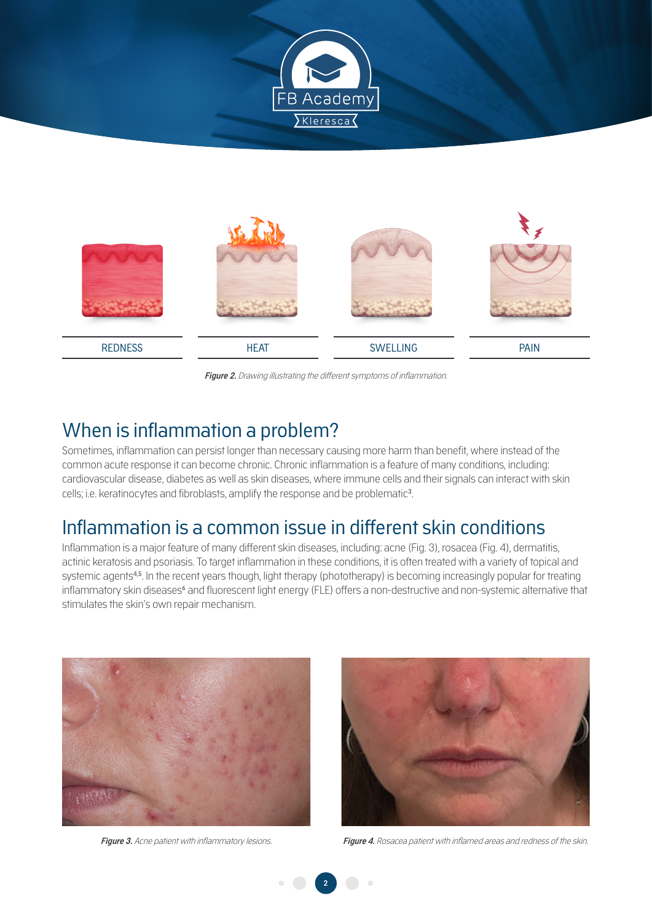



**Figure 2.** Drawing illustrating the different symptoms of inflammation.

#### When is inflammation a problem?

Sometimes, inflammation can persist longer than necessary causing more harm than benefit, where instead of the common acute response it can become chronic. Chronic inflammation is a feature of many conditions, including: cardiovascular disease, diabetes as well as skin diseases, where immune cells and their signals can interact with skin cells; i.e. keratinocytes and fibroblasts, amplify the response and be problematic<sup>3</sup>.

### Inflammation is a common issue in different skin conditions

Inflammation is a major feature of many different skin diseases, including: acne (Fig. 3), rosacea (Fig. 4), dermatitis, actinic keratosis and psoriasis. To target inflammation in these conditions, it is often treated with a variety of topical and systemic agents<sup>4,5</sup>. In the recent years though, light therapy (phototherapy) is becoming increasingly popular for treating inflammatory skin diseases<sup>6</sup> and fluorescent light energy (FLE) offers a non-destructive and non-systemic alternative that stimulates the skin's own repair mechanism.





**Figure 3.** Acne patient with inflammatory lesions. **Figure 4.** Rosacea patient with inflamed areas and redness of the skin.

**2**